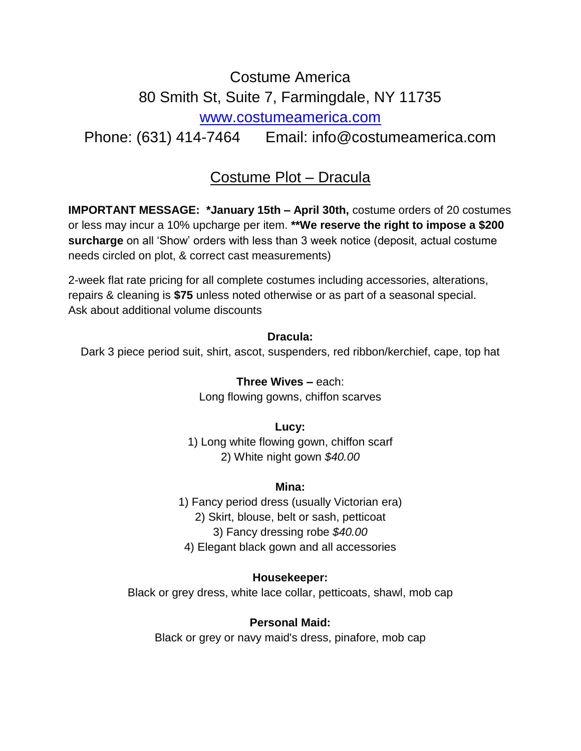# Costume America 80 Smith St, Suite 7, Farmingdale, NY 11735 [www.costumeamerica.com](file:///D:/Costume%20Plots/www.costumeamerica.com)

Phone: (631) 414-7464 Email: info@costumeamerica.com

# Costume Plot – Dracula

**IMPORTANT MESSAGE: \*January 15th – April 30th,** costume orders of 20 costumes or less may incur a 10% upcharge per item. **\*\*We reserve the right to impose a \$200 surcharge** on all 'Show' orders with less than 3 week notice (deposit, actual costume needs circled on plot, & correct cast measurements)

2-week flat rate pricing for all complete costumes including accessories, alterations, repairs & cleaning is **\$75** unless noted otherwise or as part of a seasonal special. Ask about additional volume discounts

#### **Dracula:**

Dark 3 piece period suit, shirt, ascot, suspenders, red ribbon/kerchief, cape, top hat

**Three Wives –** each: Long flowing gowns, chiffon scarves

**Lucy:** 1) Long white flowing gown, chiffon scarf 2) White night gown *\$40.00*

#### **Mina:**

1) Fancy period dress (usually Victorian era) 2) Skirt, blouse, belt or sash, petticoat 3) Fancy dressing robe *\$40.00* 4) Elegant black gown and all accessories

# **Housekeeper:**

Black or grey dress, white lace collar, petticoats, shawl, mob cap

# **Personal Maid:**

Black or grey or navy maid's dress, pinafore, mob cap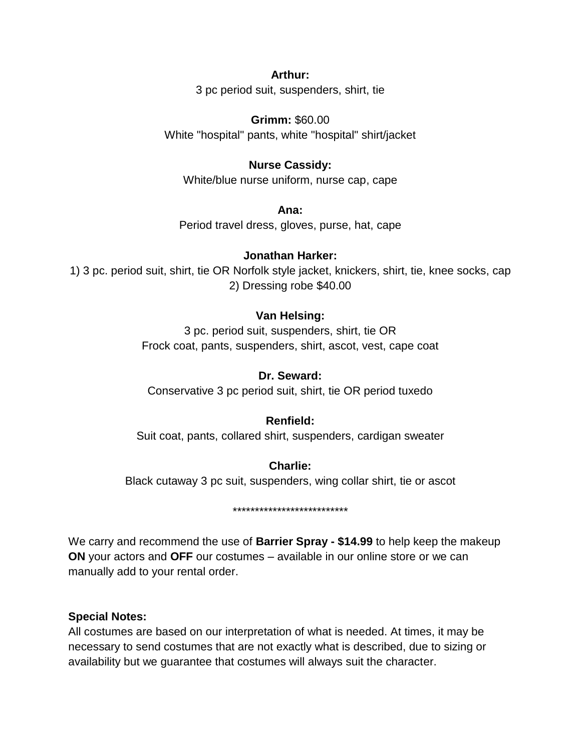#### **Arthur:**

3 pc period suit, suspenders, shirt, tie

**Grimm:** \$60.00 White "hospital" pants, white "hospital" shirt/jacket

# **Nurse Cassidy:**

White/blue nurse uniform, nurse cap, cape

**Ana:** Period travel dress, gloves, purse, hat, cape

#### **Jonathan Harker:**

1) 3 pc. period suit, shirt, tie OR Norfolk style jacket, knickers, shirt, tie, knee socks, cap 2) Dressing robe \$40.00

# **Van Helsing:**

3 pc. period suit, suspenders, shirt, tie OR Frock coat, pants, suspenders, shirt, ascot, vest, cape coat

#### **Dr. Seward:**

Conservative 3 pc period suit, shirt, tie OR period tuxedo

# **Renfield:**

Suit coat, pants, collared shirt, suspenders, cardigan sweater

**Charlie:** Black cutaway 3 pc suit, suspenders, wing collar shirt, tie or ascot

\*\*\*\*\*\*\*\*\*\*\*\*\*\*\*\*\*\*\*\*\*\*\*\*\*\*

We carry and recommend the use of **Barrier Spray - \$14.99** to help keep the makeup **ON** your actors and **OFF** our costumes – available in our online store or we can manually add to your rental order.

#### **Special Notes:**

All costumes are based on our interpretation of what is needed. At times, it may be necessary to send costumes that are not exactly what is described, due to sizing or availability but we guarantee that costumes will always suit the character.